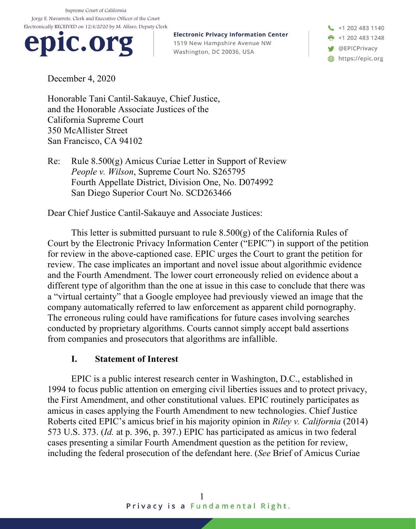Supreme Court of California Jorge E. Navarrete, Clerk and Executive Officer of the Court Electronically RECEIVED on 12/4/2020 by M. Alfaro, Deputy Clerk



**Electronic Privacy Information Center** 1519 New Hampshire Avenue NW Washington, DC 20036, USA

+1 202 483 1140  $\frac{1}{2}$  +1 202 483 1248 **W** @EPICPrivacy https://epic.org

December 4, 2020

Honorable Tani Cantil-Sakauye, Chief Justice, and the Honorable Associate Justices of the California Supreme Court 350 McAllister Street San Francisco, CA 94102

Re: Rule 8.500(g) Amicus Curiae Letter in Support of Review *People v. Wilson*, Supreme Court No. S265795 Fourth Appellate District, Division One, No. D074992 San Diego Superior Court No. SCD263466

Dear Chief Justice Cantil-Sakauye and Associate Justices:

This letter is submitted pursuant to rule 8.500(g) of the California Rules of Court by the Electronic Privacy Information Center ("EPIC") in support of the petition for review in the above-captioned case. EPIC urges the Court to grant the petition for review. The case implicates an important and novel issue about algorithmic evidence and the Fourth Amendment. The lower court erroneously relied on evidence about a different type of algorithm than the one at issue in this case to conclude that there was a "virtual certainty" that a Google employee had previously viewed an image that the company automatically referred to law enforcement as apparent child pornography. The erroneous ruling could have ramifications for future cases involving searches conducted by proprietary algorithms. Courts cannot simply accept bald assertions from companies and prosecutors that algorithms are infallible.

## **I. Statement of Interest**

EPIC is a public interest research center in Washington, D.C., established in 1994 to focus public attention on emerging civil liberties issues and to protect privacy, the First Amendment, and other constitutional values. EPIC routinely participates as amicus in cases applying the Fourth Amendment to new technologies. Chief Justice Roberts cited EPIC's amicus brief in his majority opinion in *Riley v. California* (2014) 573 U.S. 373. (*Id.* at p. 396, p. 397.) EPIC has participated as amicus in two federal cases presenting a similar Fourth Amendment question as the petition for review, including the federal prosecution of the defendant here. (*See* Brief of Amicus Curiae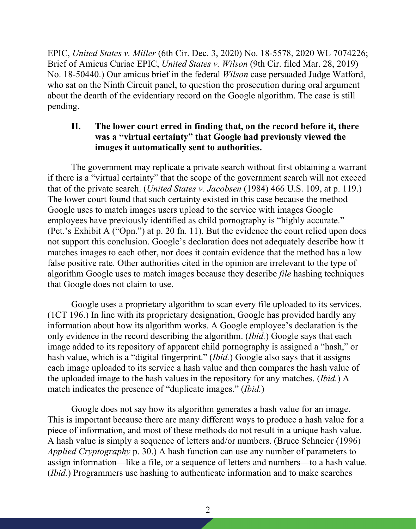EPIC, *United States v. Miller* (6th Cir. Dec. 3, 2020) No. 18-5578, 2020 WL 7074226; Brief of Amicus Curiae EPIC, *United States v. Wilson* (9th Cir. filed Mar. 28, 2019) No. 18-50440.) Our amicus brief in the federal *Wilson* case persuaded Judge Watford, who sat on the Ninth Circuit panel, to question the prosecution during oral argument about the dearth of the evidentiary record on the Google algorithm. The case is still pending.

## **II. The lower court erred in finding that, on the record before it, there was a "virtual certainty" that Google had previously viewed the images it automatically sent to authorities.**

The government may replicate a private search without first obtaining a warrant if there is a "virtual certainty" that the scope of the government search will not exceed that of the private search. (*United States v. Jacobsen* (1984) 466 U.S. 109, at p. 119.) The lower court found that such certainty existed in this case because the method Google uses to match images users upload to the service with images Google employees have previously identified as child pornography is "highly accurate." (Pet.'s Exhibit A ("Opn.") at p. 20 fn. 11). But the evidence the court relied upon does not support this conclusion. Google's declaration does not adequately describe how it matches images to each other, nor does it contain evidence that the method has a low false positive rate. Other authorities cited in the opinion are irrelevant to the type of algorithm Google uses to match images because they describe *file* hashing techniques that Google does not claim to use.

Google uses a proprietary algorithm to scan every file uploaded to its services. (1CT 196.) In line with its proprietary designation, Google has provided hardly any information about how its algorithm works. A Google employee's declaration is the only evidence in the record describing the algorithm. (*Ibid.*) Google says that each image added to its repository of apparent child pornography is assigned a "hash," or hash value, which is a "digital fingerprint." *(Ibid.)* Google also says that it assigns each image uploaded to its service a hash value and then compares the hash value of the uploaded image to the hash values in the repository for any matches. (*Ibid.*) A match indicates the presence of "duplicate images." (*Ibid.*)

Google does not say how its algorithm generates a hash value for an image. This is important because there are many different ways to produce a hash value for a piece of information, and most of these methods do not result in a unique hash value. A hash value is simply a sequence of letters and/or numbers. (Bruce Schneier (1996) *Applied Cryptography* p. 30.) A hash function can use any number of parameters to assign information—like a file, or a sequence of letters and numbers—to a hash value. (*Ibid.*) Programmers use hashing to authenticate information and to make searches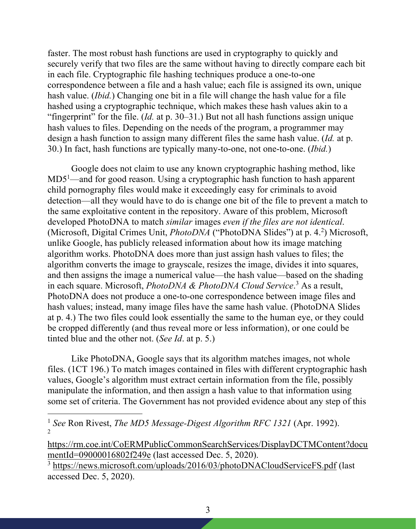faster. The most robust hash functions are used in cryptography to quickly and securely verify that two files are the same without having to directly compare each bit in each file. Cryptographic file hashing techniques produce a one-to-one correspondence between a file and a hash value; each file is assigned its own, unique hash value. (*Ibid.*) Changing one bit in a file will change the hash value for a file hashed using a cryptographic technique, which makes these hash values akin to a "fingerprint" for the file. (*Id.* at p. 30–31.) But not all hash functions assign unique hash values to files. Depending on the needs of the program, a programmer may design a hash function to assign many different files the same hash value. (*Id.* at p. 30.) In fact, hash functions are typically many-to-one, not one-to-one. (*Ibid.*)

Google does not claim to use any known cryptographic hashing method, like MD5<sup>1</sup>—and for good reason. Using a cryptographic hash function to hash apparent child pornography files would make it exceedingly easy for criminals to avoid detection—all they would have to do is change one bit of the file to prevent a match to the same exploitative content in the repository. Aware of this problem, Microsoft developed PhotoDNA to match *similar* images *even if the files are not identical*. (Microsoft, Digital Crimes Unit, *PhotoDNA* ("PhotoDNA Slides") at p. 4.<sup>2</sup>) Microsoft, unlike Google, has publicly released information about how its image matching algorithm works. PhotoDNA does more than just assign hash values to files; the algorithm converts the image to grayscale, resizes the image, divides it into squares, and then assigns the image a numerical value—the hash value—based on the shading in each square. Microsoft, *PhotoDNA & PhotoDNA Cloud Service*. <sup>3</sup> As a result, PhotoDNA does not produce a one-to-one correspondence between image files and hash values; instead, many image files have the same hash value. (PhotoDNA Slides at p. 4.) The two files could look essentially the same to the human eye, or they could be cropped differently (and thus reveal more or less information), or one could be tinted blue and the other not. (*See Id*. at p. 5.)

Like PhotoDNA, Google says that its algorithm matches images, not whole files. (1CT 196.) To match images contained in files with different cryptographic hash values, Google's algorithm must extract certain information from the file, possibly manipulate the information, and then assign a hash value to that information using some set of criteria. The Government has not provided evidence about any step of this

<sup>1</sup> *See* Ron Rivest, *The MD5 Message-Digest Algorithm RFC 1321* (Apr. 1992).  $\mathfrak{D}$ 

https://rm.coe.int/CoERMPublicCommonSearchServices/DisplayDCTMContent?docu mentId=09000016802f249e (last accessed Dec. 5, 2020).

<sup>3</sup> https://news.microsoft.com/uploads/2016/03/photoDNACloudServiceFS.pdf (last accessed Dec. 5, 2020).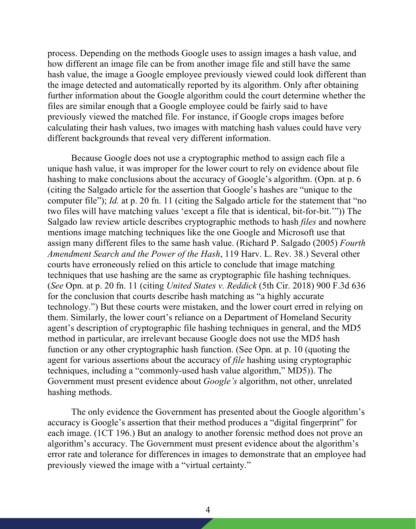process. Depending on the methods Google uses to assign images a hash value, and how different an image file can be from another image file and still have the same hash value, the image a Google employee previously viewed could look different than the image detected and automatically reported by its algorithm. Only after obtaining further information about the Google algorithm could the court determine whether the files are similar enough that a Google employee could be fairly said to have previously viewed the matched file. For instance, if Google crops images before calculating their hash values, two images with matching hash values could have very different backgrounds that reveal very different information.

Because Google does not use a cryptographic method to assign each file a unique hash value, it was improper for the lower court to rely on evidence about file hashing to make conclusions about the accuracy of Google's algorithm. (Opn. at p. 6) (citing the Salgado article for the assertion that Google's hashes are "unique to the computer file"); *Id.* at p. 20 fn. 11 (citing the Salgado article for the statement that "no two files will have matching values 'except a file that is identical, bit-for-bit.'")) The Salgado law review article describes cryptographic methods to hash *files* and nowhere mentions image matching techniques like the one Google and Microsoft use that assign many different files to the same hash value. (Richard P. Salgado (2005) *Fourth Amendment Search and the Power of the Hash*, 119 Harv. L. Rev. 38.) Several other courts have erroneously relied on this article to conclude that image matching techniques that use hashing are the same as cryptographic file hashing techniques. (*See* Opn. at p. 20 fn. 11 (citing *United States v. Reddick* (5th Cir. 2018) 900 F.3d 636 for the conclusion that courts describe hash matching as "a highly accurate technology.") But these courts were mistaken, and the lower court erred in relying on them. Similarly, the lower court's reliance on a Department of Homeland Security agent's description of cryptographic file hashing techniques in general, and the MD5 method in particular, are irrelevant because Google does not use the MD5 hash function or any other cryptographic hash function. (See Opn. at p. 10 (quoting the agent for various assertions about the accuracy of *file* hashing using cryptographic techniques, including a "commonly-used hash value algorithm," MD5)). The Government must present evidence about *Google's* algorithm, not other, unrelated hashing methods.

The only evidence the Government has presented about the Google algorithm's accuracy is Google's assertion that their method produces a "digital fingerprint" for each image. (1CT 196.) But an analogy to another forensic method does not prove an algorithm's accuracy. The Government must present evidence about the algorithm's error rate and tolerance for differences in images to demonstrate that an employee had previously viewed the image with a "virtual certainty."

4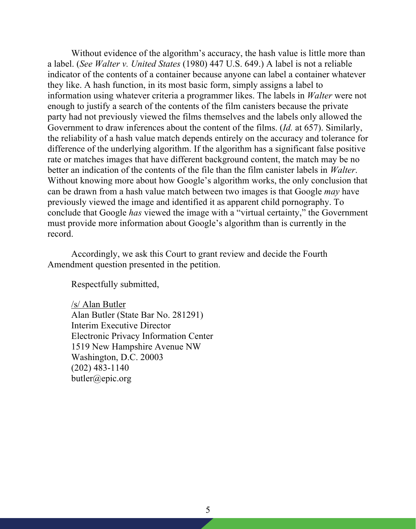Without evidence of the algorithm's accuracy, the hash value is little more than a label. (*See Walter v. United States* (1980) 447 U.S. 649.) A label is not a reliable indicator of the contents of a container because anyone can label a container whatever they like. A hash function, in its most basic form, simply assigns a label to information using whatever criteria a programmer likes. The labels in *Walter* were not enough to justify a search of the contents of the film canisters because the private party had not previously viewed the films themselves and the labels only allowed the Government to draw inferences about the content of the films. (*Id.* at 657). Similarly, the reliability of a hash value match depends entirely on the accuracy and tolerance for difference of the underlying algorithm. If the algorithm has a significant false positive rate or matches images that have different background content, the match may be no better an indication of the contents of the file than the film canister labels in *Walter*. Without knowing more about how Google's algorithm works, the only conclusion that can be drawn from a hash value match between two images is that Google *may* have previously viewed the image and identified it as apparent child pornography. To conclude that Google *has* viewed the image with a "virtual certainty," the Government must provide more information about Google's algorithm than is currently in the record.

Accordingly, we ask this Court to grant review and decide the Fourth Amendment question presented in the petition.

Respectfully submitted,

/s/ Alan Butler Alan Butler (State Bar No. 281291) Interim Executive Director Electronic Privacy Information Center 1519 New Hampshire Avenue NW Washington, D.C. 20003 (202) 483-1140 butler@epic.org